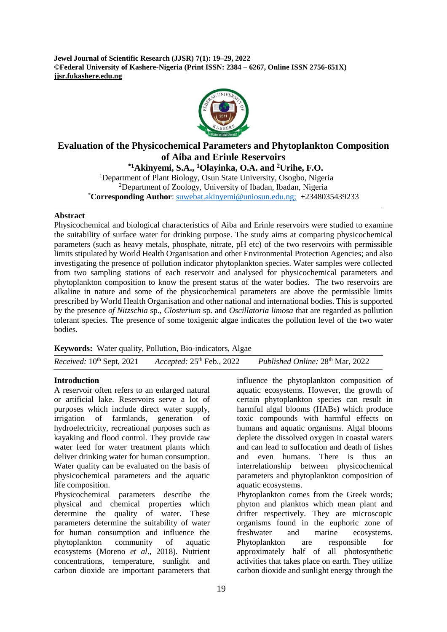**Jewel Journal of Scientific Research (JJSR) 7(1): 19–29, 2022 ©Federal University of Kashere-Nigeria (Print ISSN: 2384 – 6267, Online ISSN 2756-651X) jjsr.fukashere.edu.ng**



# **Evaluation of the Physicochemical Parameters and Phytoplankton Composition of Aiba and Erinle Reservoirs**

**\*1Akinyemi, S.A., <sup>1</sup>Olayinka, O.A. and <sup>2</sup>Urihe, F.O.**  <sup>1</sup>Department of Plant Biology, Osun State University, Osogbo, Nigeria <sup>2</sup>Department of Zoology, University of Ibadan, Ibadan, Nigeria \***Corresponding Author**: [suwebat.akinyemi@uniosun.edu.ng;](mailto:suwebat.akinyemi@uniosun.edu.ng) +2348035439233

#### **Abstract**

Physicochemical and biological characteristics of Aiba and Erinle reservoirs were studied to examine the suitability of surface water for drinking purpose. The study aims at comparing physicochemical parameters (such as heavy metals, phosphate, nitrate, pH etc) of the two reservoirs with permissible limits stipulated by World Health Organisation and other Environmental Protection Agencies; and also investigating the presence of pollution indicator phytoplankton species. Water samples were collected from two sampling stations of each reservoir and analysed for physicochemical parameters and phytoplankton composition to know the present status of the water bodies. The two reservoirs are alkaline in nature and some of the physicochemical parameters are above the permissible limits prescribed by World Health Organisation and other national and international bodies. This is supported by the presence *of Nitzschia* sp.*, Closterium* sp. and *Oscillatoria limosa* that are regarded as pollution tolerant species*.* The presence of some toxigenic algae indicates the pollution level of the two water bodies.

**Keywords:** Water quality, Pollution, Bio-indicators, Algae

*Received:* 10<sup>th</sup> Sept. 2021 *Accepted:* 25<sup>th</sup> Feb., 2022 Published Online: 28<sup>th</sup> Mar, 2022

## **Introduction**

A reservoir often refers to an enlarged natural or artificial lake. Reservoirs serve a lot of purposes which include direct water supply, irrigation of farmlands, generation of hydroelectricity, recreational purposes such as kayaking and flood control. They provide raw water feed for water treatment plants which deliver drinking water for human consumption. Water quality can be evaluated on the basis of physicochemical parameters and the aquatic life composition.

Physicochemical parameters describe the physical and chemical properties which determine the quality of water. These parameters determine the suitability of water for human consumption and influence the phytoplankton community of aquatic ecosystems (Moreno *et al*., 2018). Nutrient concentrations, temperature, sunlight and carbon dioxide are important parameters that

influence the phytoplankton composition of aquatic ecosystems. However, the growth of certain phytoplankton species can result in harmful algal blooms (HABs) which produce toxic compounds with harmful effects on humans and aquatic organisms. Algal blooms deplete the dissolved oxygen in coastal waters and can lead to suffocation and death of fishes and even humans. There is thus an interrelationship between physicochemical parameters and phytoplankton composition of aquatic ecosystems.

Phytoplankton comes from the Greek words; phyton and planktos which mean plant and drifter respectively. They are microscopic organisms found in the euphoric zone of freshwater and marine ecosystems. Phytoplankton are responsible for approximately half of all photosynthetic activities that takes place on earth. They utilize carbon dioxide and sunlight energy through the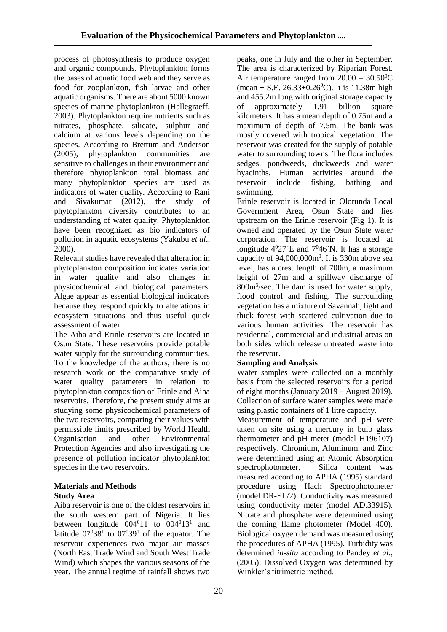process of photosynthesis to produce oxygen and organic compounds. Phytoplankton forms the bases of aquatic food web and they serve as food for zooplankton, fish larvae and other aquatic organisms. There are about 5000 known species of marine phytoplankton (Hallegraeff, 2003). Phytoplankton require nutrients such as nitrates, phosphate, silicate, sulphur and calcium at various levels depending on the species. According to Brettum and Anderson (2005), phytoplankton communities are sensitive to challenges in their environment and therefore phytoplankton total biomass and many phytoplankton species are used as indicators of water quality. According to Rani and Sivakumar (2012), the study of phytoplankton diversity contributes to an understanding of water quality. Phytoplankton have been recognized as bio indicators of pollution in aquatic ecosystems (Yakubu *et al*., 2000).

Relevant studies have revealed that alteration in phytoplankton composition indicates variation in water quality and also changes in physicochemical and biological parameters. Algae appear as essential biological indicators because they respond quickly to alterations in ecosystem situations and thus useful quick assessment of water.

The Aiba and Erinle reservoirs are located in Osun State. These reservoirs provide potable water supply for the surrounding communities. To the knowledge of the authors, there is no research work on the comparative study of water quality parameters in relation to phytoplankton composition of Erinle and Aiba reservoirs. Therefore, the present study aims at studying some physicochemical parameters of the two reservoirs, comparing their values with permissible limits prescribed by World Health Organisation and other Environmental Protection Agencies and also investigating the presence of pollution indicator phytoplankton species in the two reservoirs.

## **Materials and Methods Study Area**

Aiba reservoir is one of the oldest reservoirs in the south western part of Nigeria. It lies between longitude  $004<sup>0</sup>11$  to  $004<sup>0</sup>13<sup>1</sup>$  and latitude  $07^038^1$  to  $07^039^1$  of the equator. The reservoir experiences two major air masses (North East Trade Wind and South West Trade Wind) which shapes the various seasons of the year. The annual regime of rainfall shows two peaks, one in July and the other in September. The area is characterized by Riparian Forest. Air temperature ranged from  $20.00 - 30.50^{\circ}$ C (mean  $\pm$  S.E. 26.33 $\pm$ 0.26<sup>0</sup>C). It is 11.38m high and 455.2m long with original storage capacity of approximately 1.91 billion square kilometers. It has a mean depth of 0.75m and a maximum of depth of 7.5m. The bank was mostly covered with tropical vegetation. The reservoir was created for the supply of potable water to surrounding towns. The flora includes sedges, pondweeds, duckweeds and water hyacinths. Human activities around the reservoir include fishing, bathing and swimming.

Erinle reservoir is located in Olorunda Local Government Area, Osun State and lies upstream on the Erinle reservoir (Fig 1). It is owned and operated by the Osun State water corporation. The reservoir is located at longitude  $4^027$ `E and  $7^046$ `N. It has a storage capacity of 94,000,000m<sup>3</sup>. It is 330m above sea level, has a crest length of 700m, a maximum height of 27m and a spillway discharge of 800m<sup>3</sup> /sec. The dam is used for water supply, flood control and fishing. The surrounding vegetation has a mixture of Savannah, light and thick forest with scattered cultivation due to various human activities. The reservoir has residential, commercial and industrial areas on both sides which release untreated waste into the reservoir.

## **Sampling and Analysis**

Water samples were collected on a monthly basis from the selected reservoirs for a period of eight months (January 2019 – August 2019). Collection of surface water samples were made using plastic containers of 1 litre capacity.

Measurement of temperature and pH were taken on site using a mercury in bulb glass thermometer and pH meter (model H196107) respectively. Chromium, Aluminum, and Zinc were determined using an Atomic Absorption spectrophotometer. Silica content was measured according to APHA (1995) standard procedure using Hach Spectrophotometer (model DR-EL/2). Conductivity was measured using conductivity meter (model AD.33915). Nitrate and phosphate were determined using the corning flame photometer (Model 400). Biological oxygen demand was measured using the procedures of APHA (1995). Turbidity was determined *in-situ* according to Pandey *et al*., (2005). Dissolved Oxygen was determined by Winkler's titrimetric method.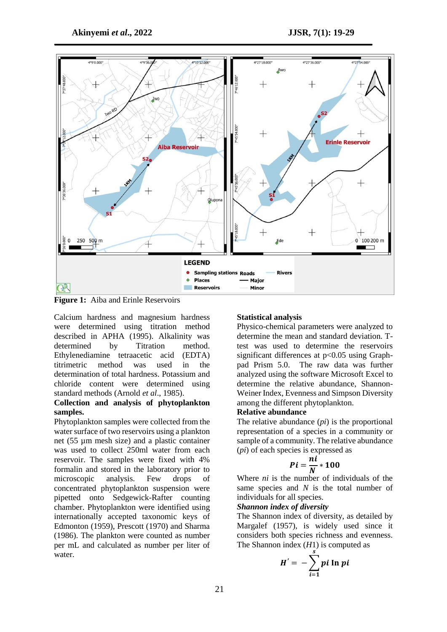

**Figure 1:** Aiba and Erinle Reservoirs

Calcium hardness and magnesium hardness were determined using titration method described in APHA (1995). Alkalinity was determined by Titration method. Ethylenediamine tetraacetic acid (EDTA) titrimetric method was used in the determination of total hardness. Potassium and chloride content were determined using standard methods (Arnold *et al*., 1985).

#### **Collection and analysis of phytoplankton samples.**

Phytoplankton samples were collected from the water surface of two reservoirs using a plankton net (55 µm mesh size) and a plastic container was used to collect 250ml water from each reservoir. The samples were fixed with 4% formalin and stored in the laboratory prior to microscopic analysis. Few drops of concentrated phytoplankton suspension were pipetted onto Sedgewick-Rafter counting chamber. Phytoplankton were identified using internationally accepted taxonomic keys of Edmonton (1959), Prescott (1970) and Sharma (1986). The plankton were counted as number per mL and calculated as number per liter of water.

#### **Statistical analysis**

Physico-chemical parameters were analyzed to determine the mean and standard deviation. Ttest was used to determine the reservoirs significant differences at p<0.05 using Graphpad Prism 5.0. The raw data was further analyzed using the software Microsoft Excel to determine the relative abundance, Shannon-Weiner Index, Evenness and Simpson Diversity among the different phytoplankton.

#### **Relative abundance**

The relative abundance (*pi*) is the proportional representation of a species in a community or sample of a community. The relative abundance (*pi*) of each species is expressed as

$$
Pi=\frac{ni}{N}*100
$$

Where *ni* is the number of individuals of the same species and *N* is the total number of individuals for all species.

## *Shannon index of diversity*

The Shannon index of diversity, as detailed by Margalef (1957), is widely used since it considers both species richness and evenness. The Shannon index (*H*1) is computed as

$$
H' = -\sum_{i=1}^s p_i \ln p_i
$$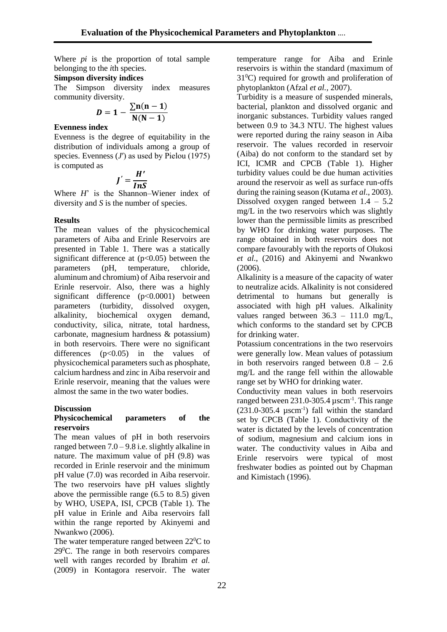Where *pi* is the proportion of total sample belonging to the *i*th species.

#### **Simpson diversity indices**

The Simpson diversity index measures community diversity.

$$
D=1-\frac{\sum n(n-1)}{N(N-1)}
$$

#### **Evenness index**

Evenness is the degree of equitability in the distribution of individuals among a group of species. Evenness (*J'*) as used by Pielou (1975) is computed as

$$
J'=\frac{H'}{InS}
$$

Where *H*' is the Shannon–Wiener index of diversity and *S* is the number of species.

## **Results**

The mean values of the physicochemical parameters of Aiba and Erinle Reservoirs are presented in Table 1. There was a statically significant difference at  $(p<0.05)$  between the parameters (pH, temperature, chloride, aluminum and chromium) of Aiba reservoir and Erinle reservoir. Also, there was a highly significant difference (p<0.0001) between parameters (turbidity, dissolved oxygen, alkalinity, biochemical oxygen demand, conductivity, silica, nitrate, total hardness, carbonate, magnesium hardness & potassium) in both reservoirs. There were no significant differences  $(p<0.05)$  in the values of physicochemical parameters such as phosphate, calcium hardness and zinc in Aiba reservoir and Erinle reservoir, meaning that the values were almost the same in the two water bodies.

## **Discussion**

#### **Physicochemical parameters of the reservoirs**

The mean values of pH in both reservoirs ranged between 7.0 – 9.8 i.e. slightly alkaline in nature. The maximum value of pH (9.8) was recorded in Erinle reservoir and the minimum pH value (7.0) was recorded in Aiba reservoir. The two reservoirs have pH values slightly above the permissible range (6.5 to 8.5) given by WHO, USEPA, ISI, CPCB (Table 1). The pH value in Erinle and Aiba reservoirs fall within the range reported by Akinyemi and Nwankwo (2006).

The water temperature ranged between 22<sup>0</sup>C to  $29^{\circ}$ C. The range in both reservoirs compares well with ranges recorded by Ibrahim *et al.*  (2009) in Kontagora reservoir. The water

temperature range for Aiba and Erinle reservoirs is within the standard (maximum of  $31<sup>0</sup>C$ ) required for growth and proliferation of phytoplankton (Afzal *et al.,* 2007).

Turbidity is a measure of suspended minerals, bacterial, plankton and dissolved organic and inorganic substances. Turbidity values ranged between 0.9 to 34.3 NTU. The highest values were reported during the rainy season in Aiba reservoir. The values recorded in reservoir (Aiba) do not conform to the standard set by ICI, ICMR and CPCB (Table 1). Higher turbidity values could be due human activities around the reservoir as well as surface run-offs during the raining season (Kutama *et al*., 2003). Dissolved oxygen ranged between  $1.4 - 5.2$ mg/L in the two reservoirs which was slightly lower than the permissible limits as prescribed by WHO for drinking water purposes. The range obtained in both reservoirs does not compare favourably with the reports of Olukosi *et al*., (2016) and Akinyemi and Nwankwo (2006).

Alkalinity is a measure of the capacity of water to neutralize acids. Alkalinity is not considered detrimental to humans but generally is associated with high pH values. Alkalinity values ranged between 36.3 – 111.0 mg/L, which conforms to the standard set by CPCB for drinking water.

Potassium concentrations in the two reservoirs were generally low. Mean values of potassium in both reservoirs ranged between  $0.8 - 2.6$ mg/L and the range fell within the allowable range set by WHO for drinking water.

Conductivity mean values in both reservoirs ranged between 231.0-305.4 µscm-1 . This range  $(231.0-305.4 \mu \text{scm}^{-1})$  fall within the standard set by CPCB (Table 1). Conductivity of the water is dictated by the levels of concentration of sodium, magnesium and calcium ions in water. The conductivity values in Aiba and Erinle reservoirs were typical of most freshwater bodies as pointed out by Chapman and Kimistach (1996).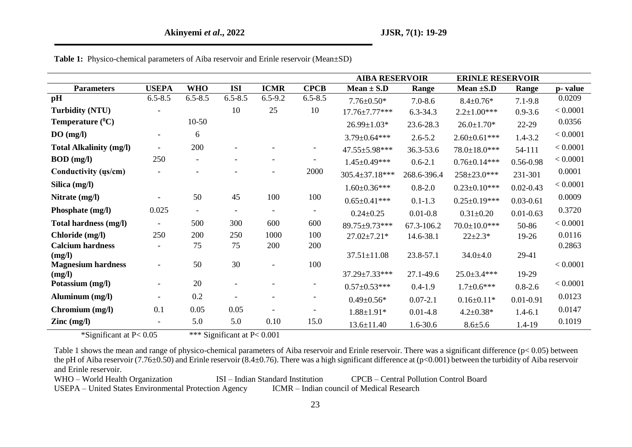|                                          |                          |                          |             |                          |                          | <b>AIBA RESERVOIR</b> |              | <b>ERINLE RESERVOIR</b> |               |          |
|------------------------------------------|--------------------------|--------------------------|-------------|--------------------------|--------------------------|-----------------------|--------------|-------------------------|---------------|----------|
| <b>Parameters</b>                        | <b>USEPA</b>             | <b>WHO</b>               | <b>ISI</b>  | <b>ICMR</b>              | <b>CPCB</b>              | $Mean \pm S.D$        | Range        | Mean $\pm$ S.D          | Range         | p-value  |
| pH                                       | $6.5 - 8.5$              | $6.5 - 8.5$              | $6.5 - 8.5$ | $6.5 - 9.2$              | $6.5 - 8.5$              | $7.76 \pm 0.50*$      | $7.0 - 8.6$  | $8.4 \pm 0.76*$         | $7.1 - 9.8$   | 0.0209   |
| <b>Turbidity (NTU)</b>                   |                          |                          | 10          | 25                       | 10                       | 17.76±7.77***         | $6.3 - 34.3$ | $2.2 \pm 1.00$ ***      | $0.9 - 3.6$   | < 0.0001 |
| Temperature $(^0C)$                      |                          | $10-50$                  |             |                          |                          | $26.99 \pm 1.03*$     | 23.6-28.3    | $26.0 \pm 1.70*$        | 22-29         | 0.0356   |
| DO(mg/l)                                 | $\overline{\phantom{a}}$ | 6                        |             |                          |                          | $3.79 \pm 0.64$ ***   | $2.6 - 5.2$  | $2.60 \pm 0.61$ ***     | $1.4 - 3.2$   | < 0.0001 |
| <b>Total Alkalinity (mg/l)</b>           | $\blacksquare$           | 200                      |             |                          |                          | 47.55±5.98***         | 36.3-53.6    | 78.0±18.0***            | 54-111        | < 0.0001 |
| $BOD$ (mg/l)                             | 250                      | $\overline{\phantom{a}}$ |             | $\overline{\phantom{a}}$ |                          | $1.45 \pm 0.49$ ***   | $0.6 - 2.1$  | $0.76 \pm 0.14***$      | 0.56-0.98     | < 0.0001 |
| Conductivity (us/cm)                     | $\overline{\phantom{0}}$ |                          |             | $\overline{\phantom{a}}$ | 2000                     | 305.4±37.18***        | 268.6-396.4  | 258±23.0***             | 231-301       | 0.0001   |
| Silica (mg/l)                            |                          |                          |             |                          |                          | $1.60 \pm 0.36$ ***   | $0.8 - 2.0$  | $0.23 \pm 0.10***$      | $0.02 - 0.43$ | < 0.0001 |
| Nitrate (mg/l)                           |                          | 50                       | 45          | 100                      | 100                      | $0.65 \pm 0.41***$    | $0.1 - 1.3$  | $0.25 \pm 0.19***$      | $0.03 - 0.61$ | 0.0009   |
| Phosphate (mg/l)                         | 0.025                    | $\overline{\phantom{a}}$ |             | $\overline{\phantom{a}}$ | $\overline{\phantom{a}}$ | $0.24 \pm 0.25$       | $0.01 - 0.8$ | $0.31 \pm 0.20$         | $0.01 - 0.63$ | 0.3720   |
| Total hardness (mg/l)                    | $\overline{\phantom{a}}$ | 500                      | 300         | 600                      | 600                      | 89.75±9.73***         | 67.3-106.2   | $70.0 \pm 10.0$ ***     | 50-86         | < 0.0001 |
| Chloride (mg/l)                          | 250                      | 200                      | 250         | 1000                     | 100                      | $27.02 \pm 7.21*$     | 14.6-38.1    | $22 \pm 2.3*$           | 19-26         | 0.0116   |
| <b>Calcium hardness</b>                  | $\blacksquare$           | 75                       | 75          | 200                      | 200                      |                       |              |                         |               | 0.2863   |
| (mg/l)                                   |                          |                          |             |                          |                          | $37.51 \pm 11.08$     | 23.8-57.1    | $34.0 + 4.0$            | 29-41         |          |
| <b>Magnesium hardness</b>                |                          | 50                       | 30          | $\overline{a}$           | 100                      |                       |              |                         |               | < 0.0001 |
| (mg/l)                                   |                          | 20                       |             |                          |                          | 37.29±7.33***         | 27.1-49.6    | $25.0 \pm 3.4$ ***      | 19-29         | < 0.0001 |
| Potassium (mg/l)                         | $\overline{\phantom{a}}$ |                          |             |                          |                          | $0.57 \pm 0.53***$    | $0.4 - 1.9$  | $1.7 \pm 0.6$ ***       | $0.8 - 2.6$   |          |
| Aluminum (mg/l)                          | $\blacksquare$           | 0.2                      |             |                          |                          | $0.49 \pm 0.56*$      | $0.07 - 2.1$ | $0.16 \pm 0.11*$        | $0.01 - 0.91$ | 0.0123   |
| Chromium (mg/l)                          | 0.1                      | 0.05                     | 0.05        |                          |                          | $1.88 \pm 1.91*$      | $0.01 - 4.8$ | $4.2 \pm 0.38*$         | $1.4 - 6.1$   | 0.0147   |
| $\text{Zinc} \left( \text{mg/l} \right)$ | $\overline{\phantom{a}}$ | 5.0                      | 5.0         | 0.10                     | 15.0                     | $13.6 \pm 11.40$      | 1.6-30.6     | $8.6 \pm 5.6$           | 1.4-19        | 0.1019   |

**Table 1:** Physico-chemical parameters of Aiba reservoir and Erinle reservoir (Mean±SD)

\*Significant at P< 0.05 \*\*\* Significant at P< 0.001

Table 1 shows the mean and range of physico-chemical parameters of Aiba reservoir and Erinle reservoir. There was a significant difference (p< 0.05) between the pH of Aiba reservoir (7.76±0.50) and Erinle reservoir (8.4±0.76). There was a high significant difference at (p<0.001) between the turbidity of Aiba reservoir and Erinle reservoir.

WHO – World Health Organization ISI – Indian Standard Institution CPCB – Central Pollution Control Board<br>USEPA – United States Environmental Protection Agency ICMR – Indian council of Medical Research USEPA – United States Environmental Protection Agency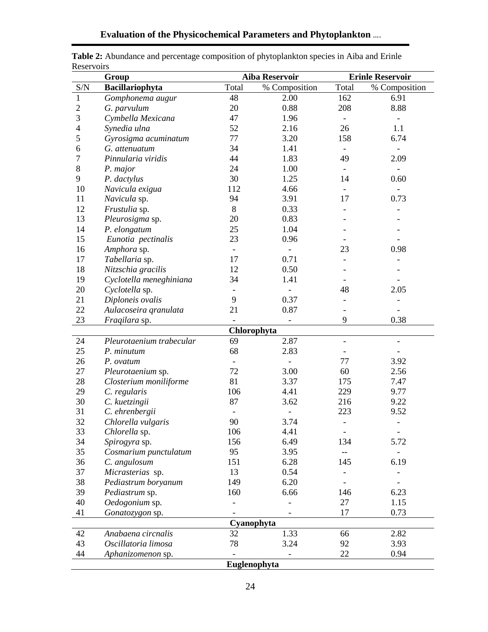|                                                                    | <b>KUSUI VUILS</b><br><b>Erinle Reservoir</b><br><b>Aiba Reservoir</b><br>Group |                |               |                          |                          |  |  |  |
|--------------------------------------------------------------------|---------------------------------------------------------------------------------|----------------|---------------|--------------------------|--------------------------|--|--|--|
| S/N                                                                | Bacillariophyta                                                                 | Total          | % Composition | Total                    | % Composition            |  |  |  |
| $\mathbf{1}$                                                       | Gomphonema augur                                                                | 48             | 2.00          | 162                      | 6.91                     |  |  |  |
| $\overline{2}$                                                     | G. parvulum                                                                     | 20             | 0.88          | 208                      | 8.88                     |  |  |  |
| 3                                                                  | Cymbella Mexicana                                                               | 47             | 1.96          | $\overline{\phantom{a}}$ |                          |  |  |  |
| 4                                                                  | Synedia ulna                                                                    | 52             | 2.16          | 26                       | 1.1                      |  |  |  |
| 5                                                                  | Gyrosigma acuminatum                                                            | 77             | 3.20          | 158                      | 6.74                     |  |  |  |
| 6                                                                  | G. attenuatum                                                                   | 34             | 1.41          |                          |                          |  |  |  |
| 7                                                                  | Pinnularia viridis                                                              | 44             | 1.83          | 49                       | 2.09                     |  |  |  |
| $8\,$                                                              | P. major                                                                        | 24             | 1.00          |                          |                          |  |  |  |
| 9                                                                  | P. dactylus                                                                     | 30             | 1.25          | 14                       | 0.60                     |  |  |  |
| 10                                                                 | Navicula exigua                                                                 | 112            | 4.66          |                          |                          |  |  |  |
| 11                                                                 | Navicula sp.                                                                    | 94             | 3.91          | 17                       | 0.73                     |  |  |  |
| 12                                                                 | Frustulia sp.                                                                   | 8              | 0.33          |                          |                          |  |  |  |
| 13                                                                 | Pleurosigma sp.                                                                 | 20             | 0.83          |                          |                          |  |  |  |
| 14                                                                 | P. elongatum                                                                    | 25             | 1.04          |                          |                          |  |  |  |
| 15                                                                 | Eunotia pectinalis                                                              | 23             | 0.96          |                          |                          |  |  |  |
| 16                                                                 | Amphora sp.                                                                     |                |               | 23                       | 0.98                     |  |  |  |
| 17                                                                 | Tabellaria sp.                                                                  | 17             | 0.71          |                          |                          |  |  |  |
| 18                                                                 | Nitzschia gracilis                                                              | 12             | 0.50          |                          |                          |  |  |  |
| 19                                                                 | Cyclotella meneghiniana                                                         | 34             | 1.41          |                          |                          |  |  |  |
| 20                                                                 | Cyclotella sp.                                                                  |                |               | 48                       | 2.05                     |  |  |  |
| 21                                                                 | Diploneis ovalis                                                                | 9              | 0.37          |                          |                          |  |  |  |
| 22                                                                 | Aulacoseira granulata                                                           | 21             | 0.87          |                          |                          |  |  |  |
| 23                                                                 | Fraqilara sp.                                                                   |                |               | 9                        | 0.38                     |  |  |  |
|                                                                    |                                                                                 |                | Chlorophyta   |                          |                          |  |  |  |
| 24                                                                 | Pleurotaenium trabecular                                                        | 69             | 2.87          |                          |                          |  |  |  |
| 25                                                                 | P. minutum                                                                      | 68             | 2.83          |                          |                          |  |  |  |
| 26                                                                 | P. ovatum                                                                       |                |               | 77                       | 3.92                     |  |  |  |
| 27                                                                 | Pleurotaenium sp.                                                               | 72             | 3.00          | 60                       | 2.56                     |  |  |  |
| 28                                                                 | Closterium moniliforme                                                          | 81             | 3.37          | 175                      | 7.47                     |  |  |  |
| 29                                                                 | C. regularis                                                                    | 106            | 4.41          | 229                      | 9.77                     |  |  |  |
| 30                                                                 | C. kuetzingii                                                                   | 87             | 3.62          | 216                      | 9.22                     |  |  |  |
| 31                                                                 | C. ehrenbergii                                                                  |                |               | 223                      | 9.52                     |  |  |  |
| 32                                                                 | Chlorella vulgaris                                                              | 90             | 3.74          | $\overline{\phantom{0}}$ | $\overline{\phantom{0}}$ |  |  |  |
| 33                                                                 | Chlorella sp.                                                                   | 106            | 4.41          | $\overline{\phantom{a}}$ | $\overline{\phantom{a}}$ |  |  |  |
| 34                                                                 | Spirogyra sp.                                                                   | 156            | 6.49          | 134                      | 5.72                     |  |  |  |
| 35                                                                 | Cosmarium punctulatum                                                           | 95             | 3.95          |                          |                          |  |  |  |
| 36                                                                 | C. angulosum                                                                    | 151            | 6.28          | 145                      | 6.19                     |  |  |  |
| 37                                                                 | Micrasterias sp.                                                                | 13             | 0.54          | $\overline{a}$           |                          |  |  |  |
| 38                                                                 | Pediastrum boryanum                                                             | 149            | 6.20          |                          |                          |  |  |  |
| 39                                                                 | Pediastrum sp.                                                                  | 160            | 6.66          | 146                      | 6.23                     |  |  |  |
| 40                                                                 | Oedogonium sp.                                                                  |                |               | 27                       | 1.15                     |  |  |  |
| 41                                                                 | Gonatozygon sp.                                                                 |                |               | 17                       | 0.73                     |  |  |  |
|                                                                    |                                                                                 |                |               |                          |                          |  |  |  |
| Cyanophyta<br>32<br>42<br>Anabaena circnalis<br>1.33<br>66<br>2.82 |                                                                                 |                |               |                          |                          |  |  |  |
| 43                                                                 | Oscillatoria limosa                                                             | 78             | 3.24          | 92                       | 3.93                     |  |  |  |
| 44                                                                 | Aphanizomenon sp.                                                               | $\overline{a}$ |               | 22                       | 0.94                     |  |  |  |
|                                                                    |                                                                                 | Euglenophyta   |               |                          |                          |  |  |  |

| Table 2: Abundance and percentage composition of phytoplankton species in Aiba and Erinle |
|-------------------------------------------------------------------------------------------|
| Reservoirs                                                                                |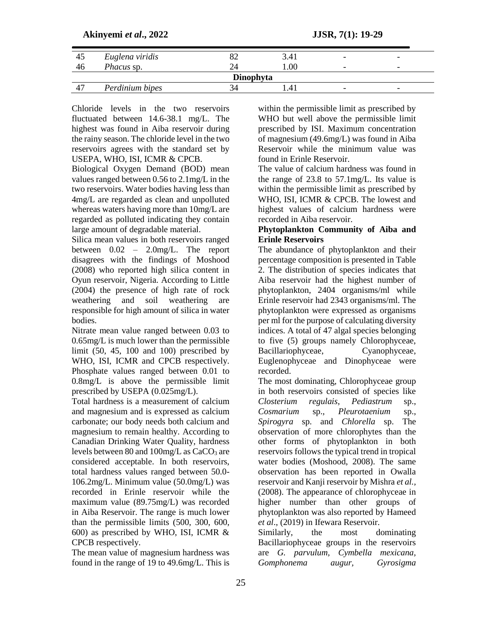#### **Akinyemi** *et al***., 2022 JJSR, 7(1): 19-29**

| 43        | Euglena viridis   |  | 3.41 | - | - |  |
|-----------|-------------------|--|------|---|---|--|
| 40        | <i>Phacus</i> sp. |  | 00.1 | - | - |  |
| Dinophyta |                   |  |      |   |   |  |
| 4         | Perdinium bipes   |  |      | - | - |  |

Chloride levels in the two reservoirs fluctuated between 14.6-38.1 mg/L. The highest was found in Aiba reservoir during the rainy season. The chloride level in the two reservoirs agrees with the standard set by USEPA, WHO, ISI, ICMR & CPCB.

Biological Oxygen Demand (BOD) mean values ranged between 0.56 to 2.1mg/L in the two reservoirs. Water bodies having less than 4mg/L are regarded as clean and unpolluted whereas waters having more than 10mg/L are regarded as polluted indicating they contain large amount of degradable material.

Silica mean values in both reservoirs ranged between 0.02 – 2.0mg/L. The report disagrees with the findings of Moshood (2008) who reported high silica content in Oyun reservoir, Nigeria. According to Little (2004) the presence of high rate of rock weathering and soil weathering are responsible for high amount of silica in water bodies.

Nitrate mean value ranged between 0.03 to 0.65mg/L is much lower than the permissible limit (50, 45, 100 and 100) prescribed by WHO, ISI, ICMR and CPCB respectively. Phosphate values ranged between 0.01 to 0.8mg/L is above the permissible limit prescribed by USEPA (0.025mg/L).

Total hardness is a measurement of calcium and magnesium and is expressed as calcium carbonate; our body needs both calcium and magnesium to remain healthy. According to Canadian Drinking Water Quality, hardness levels between 80 and  $100$ mg/L as CaCO<sub>3</sub> are considered acceptable. In both reservoirs, total hardness values ranged between 50.0- 106.2mg/L. Minimum value (50.0mg/L) was recorded in Erinle reservoir while the maximum value (89.75mg/L) was recorded in Aiba Reservoir. The range is much lower than the permissible limits (500, 300, 600, 600) as prescribed by WHO, ISI, ICMR & CPCB respectively.

The mean value of magnesium hardness was found in the range of 19 to 49.6mg/L. This is

within the permissible limit as prescribed by WHO but well above the permissible limit prescribed by ISI. Maximum concentration of magnesium (49.6mg/L) was found in Aiba Reservoir while the minimum value was found in Erinle Reservoir.

The value of calcium hardness was found in the range of 23.8 to 57.1mg/L. Its value is within the permissible limit as prescribed by WHO, ISI, ICMR & CPCB. The lowest and highest values of calcium hardness were recorded in Aiba reservoir.

#### **Phytoplankton Community of Aiba and Erinle Reservoirs**

The abundance of phytoplankton and their percentage composition is presented in Table 2. The distribution of species indicates that Aiba reservoir had the highest number of phytoplankton, 2404 organisms/ml while Erinle reservoir had 2343 organisms/ml. The phytoplankton were expressed as organisms per ml for the purpose of calculating diversity indices. A total of 47 algal species belonging to five (5) groups namely Chlorophyceae, Bacillariophyceae, Cyanophyceae, Euglenophyceae and Dinophyceae were recorded.

The most dominating, Chlorophyceae group in both reservoirs consisted of species like *Closterium regulais*, *Pediastrum* sp., *Cosmarium* sp., *Pleurotaenium* sp., *Spirogyra* sp. and *Chlorella* sp. The observation of more chlorophytes than the other forms of phytoplankton in both reservoirs follows the typical trend in tropical water bodies (Moshood, 2008). The same observation has been reported in Owalla reservoir and Kanji reservoir by Mishra *et al.,* (2008). The appearance of chlorophyceae in higher number than other groups of phytoplankton was also reported by Hameed *et al*., (2019) in Ifewara Reservoir.

Similarly, the most dominating Bacillariophyceae groups in the reservoirs are *G. parvulum, Cymbella mexicana, Gomphonema augur, Gyrosigma*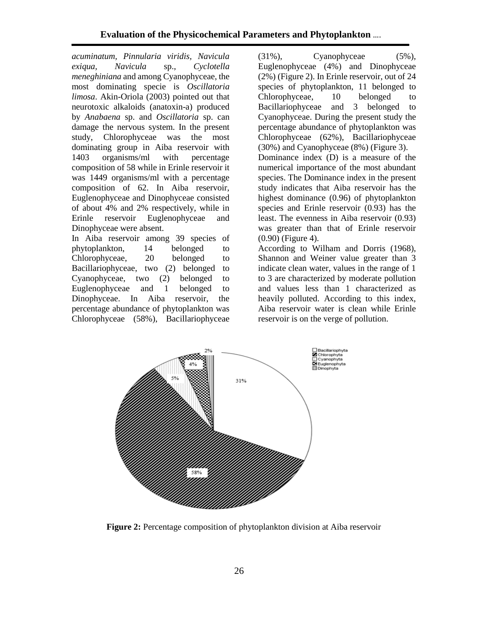*acuminatum, Pinnularia viridis, Navicula exiqua, Navicula* sp., *Cyclotella meneghiniana* and among Cyanophyceae, the most dominating specie is *Oscillatoria limosa*. Akin-Oriola (2003) pointed out that neurotoxic alkaloids (anatoxin-a) produced by *Anabaena* sp. and *Oscillatoria* sp. can damage the nervous system. In the present study, Chlorophyceae was the most dominating group in Aiba reservoir with 1403 organisms/ml with percentage composition of 58 while in Erinle reservoir it was 1449 organisms/ml with a percentage composition of 62. In Aiba reservoir, Euglenophyceae and Dinophyceae consisted of about 4% and 2% respectively, while in Erinle reservoir Euglenophyceae and Dinophyceae were absent.

In Aiba reservoir among 39 species of phytoplankton, 14 belonged to Chlorophyceae, 20 belonged to Bacillariophyceae, two (2) belonged to Cyanophyceae, two (2) belonged to Euglenophyceae and 1 belonged to Dinophyceae. In Aiba reservoir, the percentage abundance of phytoplankton was Chlorophyceae (58%), Bacillariophyceae

(31%), Cyanophyceae (5%), Euglenophyceae (4%) and Dinophyceae (2%) (Figure 2). In Erinle reservoir, out of 24 species of phytoplankton, 11 belonged to Chlorophyceae, 10 belonged to Bacillariophyceae and 3 belonged to Cyanophyceae. During the present study the percentage abundance of phytoplankton was Chlorophyceae (62%), Bacillariophyceae (30%) and Cyanophyceae (8%) (Figure 3). Dominance index (D) is a measure of the numerical importance of the most abundant species. The Dominance index in the present study indicates that Aiba reservoir has the highest dominance (0.96) of phytoplankton species and Erinle reservoir (0.93) has the least. The evenness in Aiba reservoir (0.93) was greater than that of Erinle reservoir (0.90) (Figure 4).

According to Wilham and Dorris (1968), Shannon and Weiner value greater than 3 indicate clean water, values in the range of 1 to 3 are characterized by moderate pollution and values less than 1 characterized as heavily polluted. According to this index, Aiba reservoir water is clean while Erinle reservoir is on the verge of pollution.



**Figure 2:** Percentage composition of phytoplankton division at Aiba reservoir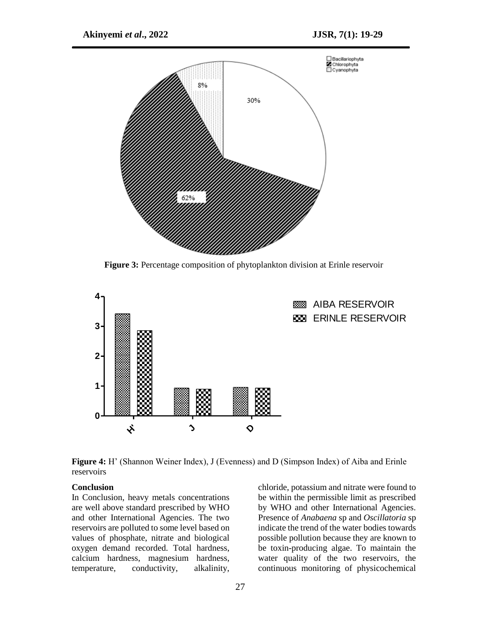

**Figure 3:** Percentage composition of phytoplankton division at Erinle reservoir



**Figure 4:** H' (Shannon Weiner Index), J (Evenness) and D (Simpson Index) of Aiba and Erinle reservoirs

#### **Conclusion**

In Conclusion, heavy metals concentrations are well above standard prescribed by WHO and other International Agencies. The two reservoirs are polluted to some level based on values of phosphate, nitrate and biological oxygen demand recorded. Total hardness, calcium hardness, magnesium hardness, temperature, conductivity, alkalinity,

chloride, potassium and nitrate were found to be within the permissible limit as prescribed by WHO and other International Agencies. Presence of *Anabaena* sp and *Oscillatoria* sp indicate the trend of the water bodies towards possible pollution because they are known to be toxin-producing algae. To maintain the water quality of the two reservoirs, the continuous monitoring of physicochemical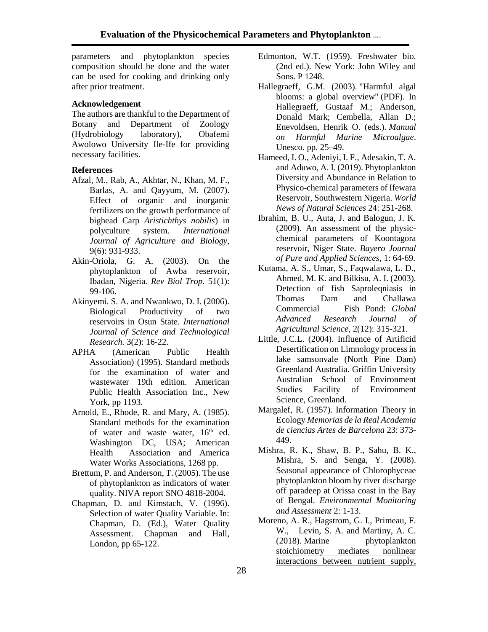parameters and phytoplankton species composition should be done and the water can be used for cooking and drinking only after prior treatment.

## **Acknowledgement**

The authors are thankful to the Department of Botany and Department of Zoology (Hydrobiology laboratory), Obafemi Awolowo University Ile-Ife for providing necessary facilities.

## **References**

- Afzal, M., Rab, A., Akhtar, N., Khan, M. F., Barlas, A. and Qayyum, M. (2007). Effect of organic and inorganic fertilizers on the growth performance of bighead Carp *Aristichthys nobilis*) in polyculture system. *International Journal of Agriculture and Biology*, 9(6): 931-933.
- Akin-Oriola, G. A. (2003). On the phytoplankton of Awba reservoir, Ibadan, Nigeria*. Rev Biol Trop.* 51(1): 99-106.
- Akinyemi. S. A. and Nwankwo, D. I. (2006). Biological Productivity of two reservoirs in Osun State. *International Journal of Science and Technological Research.* 3(2): 16-22.
- APHA (American Public Health Association) (1995). Standard methods for the examination of water and wastewater 19th edition. American Public Health Association Inc., New York, pp 1193.
- Arnold, E., Rhode, R. and Mary, A. (1985). Standard methods for the examination of water and waste water,  $16<sup>th</sup>$  ed. Washington DC, USA; American Health Association and America Water Works Associations, 1268 pp.
- Brettum, P. and Anderson, T. (2005). The use of phytoplankton as indicators of water quality. NIVA report SNO 4818-2004.
- Chapman, D. and Kimstach, V. (1996). Selection of water Quality Variable. In: Chapman, D. (Ed.), Water Quality Assessment. Chapman and Hall, London, pp 65-122.
- Edmonton, W.T. (1959). Freshwater bio. (2nd ed.). New York: John Wiley and Sons. P 1248.
- Hallegraeff, G.M. (2003). "Harmful algal blooms: a global overview" (PDF). In Hallegraeff, Gustaaf M.; Anderson, Donald Mark; Cembella, Allan D.; Enevoldsen, Henrik O. (eds.). *Manual on Harmful Marine Microalgae*. Unesco. pp. 25–49.
- Hameed, I. O., Adeniyi, I. F., Adesakin, T. A. and Aduwo, A. I. (2019). Phytoplankton Diversity and Abundance in Relation to Physico-chemical parameters of Ifewara Reservoir, Southwestern Nigeria. *World News of Natural Sciences* 24: 251-268.
- Ibrahim, B. U., Auta, J. and Balogun, J. K. (2009). An assessment of the physicchemical parameters of Koontagora reservoir, Niger State. *Bayero Journal of Pure and Applied Sciences,* 1: 64-69.
- Kutama, A. S., Umar, S., Faqwalawa, L. D., Ahmed, M. K. and Bilkisu, A. I. (2003). Detection of fish Saproleqniasis in Thomas Dam and Challawa Commercial Fish Pond: *Global Advanced Research Journal of Agricultural Science,* 2(12): 315-321.
- Little, J.C.L. (2004). Influence of Artificid Desertification on Limnology process in lake samsonvale (North Pine Dam) Greenland Australia. Griffin University Australian School of Environment Studies Facility of Environment Science, Greenland.
- Margalef, R. (1957). Information Theory in Ecology *Memorias de la Real Academia de ciencias Artes de Barcelona* 23: 373- 449.
- Mishra, R. K., Shaw, B. P., Sahu, B. K., Mishra, S. and Senga, Y. (2008). Seasonal appearance of Chlorophyceae phytoplankton bloom by river discharge off paradeep at Orissa coast in the Bay of Bengal. *Environmental Monitoring and Assessment* 2: 1-13.
- Moreno, A. R., Hagstrom, G. I., Primeau, F. W., Levin, S. A. and Martiny, A. C. (2018). Marine [phytoplankton](https://doi.org/10.5194%2Fbg-15-2761-2018) [stoichiometry](https://doi.org/10.5194%2Fbg-15-2761-2018) mediates nonlinear [interactions](https://doi.org/10.5194%2Fbg-15-2761-2018) between nutrient supply,